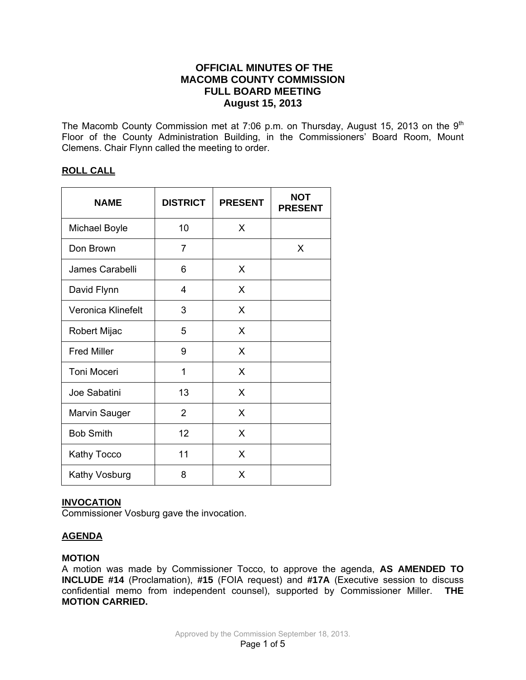# **OFFICIAL MINUTES OF THE MACOMB COUNTY COMMISSION FULL BOARD MEETING August 15, 2013**

The Macomb County Commission met at 7:06 p.m. on Thursday, August 15, 2013 on the 9<sup>th</sup> Floor of the County Administration Building, in the Commissioners' Board Room, Mount Clemens. Chair Flynn called the meeting to order.

# **ROLL CALL**

| <b>NAME</b>          | <b>DISTRICT</b> | <b>PRESENT</b> | <b>NOT</b><br><b>PRESENT</b> |
|----------------------|-----------------|----------------|------------------------------|
| Michael Boyle        | 10              | X              |                              |
| Don Brown            | 7               |                | X                            |
| James Carabelli      | 6               | X              |                              |
| David Flynn          | 4               | X              |                              |
| Veronica Klinefelt   | 3               | X              |                              |
| Robert Mijac         | 5               | X              |                              |
| <b>Fred Miller</b>   | 9               | X              |                              |
| Toni Moceri          | 1               | X              |                              |
| Joe Sabatini         | 13              | X              |                              |
| <b>Marvin Sauger</b> | 2               | X              |                              |
| <b>Bob Smith</b>     | 12              | X              |                              |
| <b>Kathy Tocco</b>   | 11              | X              |                              |
| <b>Kathy Vosburg</b> | 8               | X              |                              |

# **INVOCATION**

Commissioner Vosburg gave the invocation.

# **AGENDA**

### **MOTION**

A motion was made by Commissioner Tocco, to approve the agenda, **AS AMENDED TO INCLUDE #14** (Proclamation), **#15** (FOIA request) and **#17A** (Executive session to discuss confidential memo from independent counsel), supported by Commissioner Miller. **THE MOTION CARRIED.**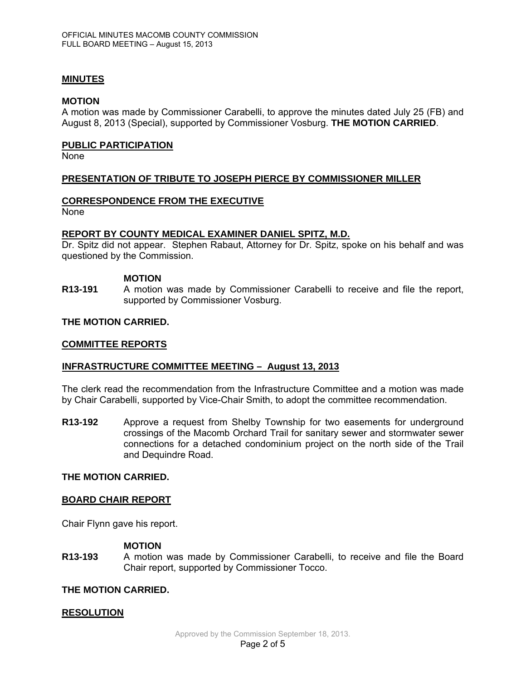### **MINUTES**

#### **MOTION**

A motion was made by Commissioner Carabelli, to approve the minutes dated July 25 (FB) and August 8, 2013 (Special), supported by Commissioner Vosburg. **THE MOTION CARRIED**.

#### **PUBLIC PARTICIPATION**

None

### **PRESENTATION OF TRIBUTE TO JOSEPH PIERCE BY COMMISSIONER MILLER**

### **CORRESPONDENCE FROM THE EXECUTIVE**

None

#### **REPORT BY COUNTY MEDICAL EXAMINER DANIEL SPITZ, M.D.**

Dr. Spitz did not appear. Stephen Rabaut, Attorney for Dr. Spitz, spoke on his behalf and was questioned by the Commission.

#### **MOTION**

**R13-191** A motion was made by Commissioner Carabelli to receive and file the report, supported by Commissioner Vosburg.

#### **THE MOTION CARRIED.**

#### **COMMITTEE REPORTS**

### **INFRASTRUCTURE COMMITTEE MEETING – August 13, 2013**

The clerk read the recommendation from the Infrastructure Committee and a motion was made by Chair Carabelli, supported by Vice-Chair Smith, to adopt the committee recommendation.

**R13-192** Approve a request from Shelby Township for two easements for underground crossings of the Macomb Orchard Trail for sanitary sewer and stormwater sewer connections for a detached condominium project on the north side of the Trail and Dequindre Road.

### **THE MOTION CARRIED.**

### **BOARD CHAIR REPORT**

Chair Flynn gave his report.

### **MOTION**

**R13-193** A motion was made by Commissioner Carabelli, to receive and file the Board Chair report, supported by Commissioner Tocco.

### **THE MOTION CARRIED.**

### **RESOLUTION**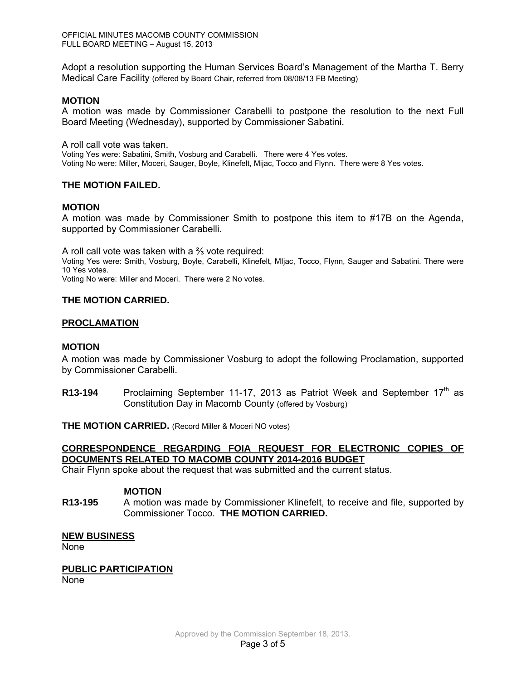Adopt a resolution supporting the Human Services Board's Management of the Martha T. Berry Medical Care Facility (offered by Board Chair, referred from 08/08/13 FB Meeting)

### **MOTION**

A motion was made by Commissioner Carabelli to postpone the resolution to the next Full Board Meeting (Wednesday), supported by Commissioner Sabatini.

A roll call vote was taken.

Voting Yes were: Sabatini, Smith, Vosburg and Carabelli. There were 4 Yes votes. Voting No were: Miller, Moceri, Sauger, Boyle, Klinefelt, Mijac, Tocco and Flynn. There were 8 Yes votes.

### **THE MOTION FAILED.**

### **MOTION**

A motion was made by Commissioner Smith to postpone this item to #17B on the Agenda, supported by Commissioner Carabelli.

A roll call vote was taken with a ⅔ vote required: Voting Yes were: Smith, Vosburg, Boyle, Carabelli, Klinefelt, MIjac, Tocco, Flynn, Sauger and Sabatini. There were 10 Yes votes. Voting No were: Miller and Moceri. There were 2 No votes.

### **THE MOTION CARRIED.**

### **PROCLAMATION**

### **MOTION**

A motion was made by Commissioner Vosburg to adopt the following Proclamation, supported by Commissioner Carabelli.

**R13-194** Proclaiming September 11-17, 2013 as Patriot Week and September 17<sup>th</sup> as Constitution Day in Macomb County (offered by Vosburg)

**THE MOTION CARRIED.** (Record Miller & Moceri NO votes)

# **CORRESPONDENCE REGARDING FOIA REQUEST FOR ELECTRONIC COPIES OF DOCUMENTS RELATED TO MACOMB COUNTY 2014-2016 BUDGET**

Chair Flynn spoke about the request that was submitted and the current status.

### **MOTION**

**R13-195** A motion was made by Commissioner Klinefelt, to receive and file, supported by Commissioner Tocco. **THE MOTION CARRIED.**

### **NEW BUSINESS**

None

### **PUBLIC PARTICIPATION**

None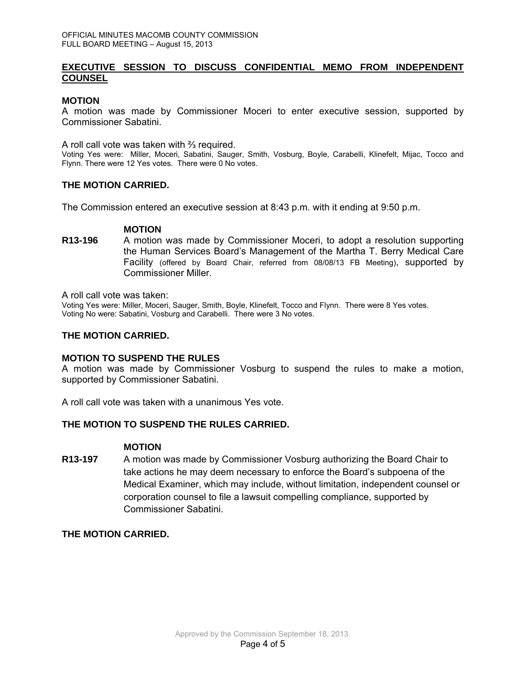### **EXECUTIVE SESSION TO DISCUSS CONFIDENTIAL MEMO FROM INDEPENDENT COUNSEL**

### **MOTION**

A motion was made by Commissioner Moceri to enter executive session, supported by Commissioner Sabatini.

A roll call vote was taken with ⅔ required.

Voting Yes were: Miller, Moceri, Sabatini, Sauger, Smith, Vosburg, Boyle, Carabelli, Klinefelt, Mijac, Tocco and Flynn. There were 12 Yes votes. There were 0 No votes.

### **THE MOTION CARRIED.**

The Commission entered an executive session at 8:43 p.m. with it ending at 9:50 p.m.

#### **MOTION**

**R13-196** A motion was made by Commissioner Moceri, to adopt a resolution supporting the Human Services Board's Management of the Martha T. Berry Medical Care Facility (offered by Board Chair, referred from 08/08/13 FB Meeting), supported by Commissioner Miller.

A roll call vote was taken:

Voting Yes were: Miller, Moceri, Sauger, Smith, Boyle, Klinefelt, Tocco and Flynn. There were 8 Yes votes. Voting No were: Sabatini, Vosburg and Carabelli. There were 3 No votes.

### **THE MOTION CARRIED.**

#### **MOTION TO SUSPEND THE RULES**

A motion was made by Commissioner Vosburg to suspend the rules to make a motion, supported by Commissioner Sabatini.

A roll call vote was taken with a unanimous Yes vote.

### **THE MOTION TO SUSPEND THE RULES CARRIED.**

#### **MOTION**

**R13-197** A motion was made by Commissioner Vosburg authorizing the Board Chair to take actions he may deem necessary to enforce the Board's subpoena of the Medical Examiner, which may include, without limitation, independent counsel or corporation counsel to file a lawsuit compelling compliance, supported by Commissioner Sabatini.

# **THE MOTION CARRIED.**